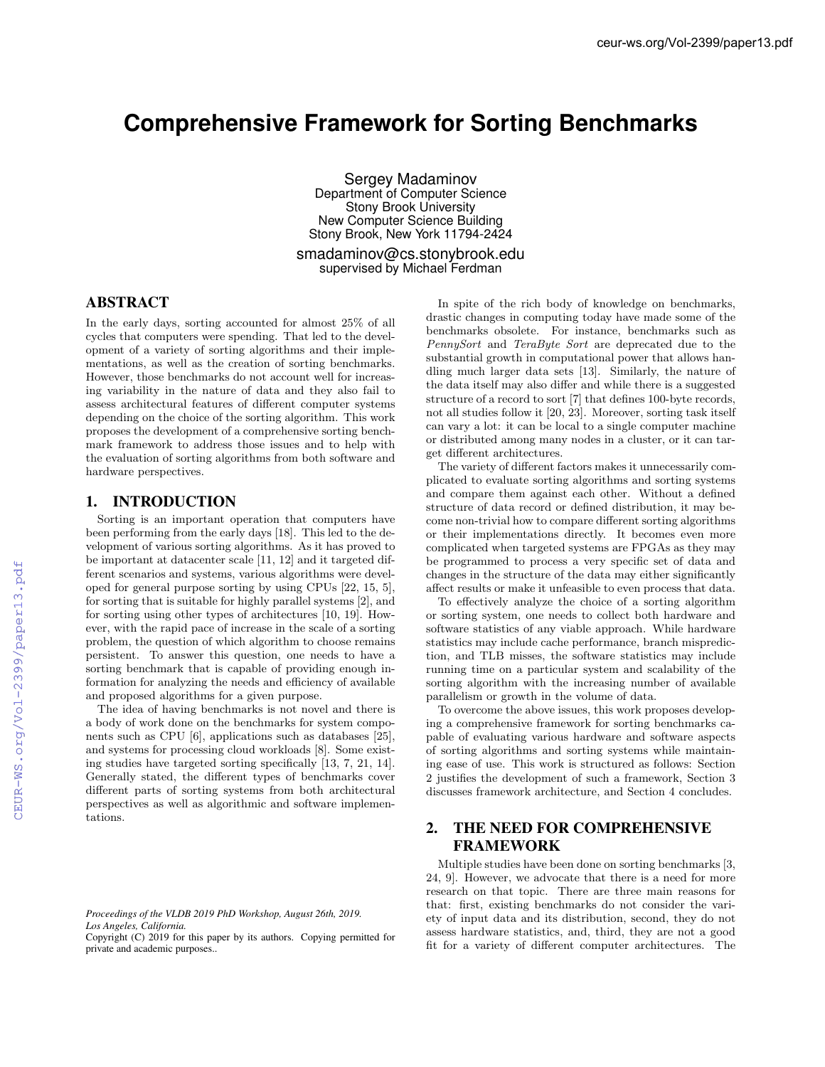# **Comprehensive Framework for Sorting Benchmarks**

Sergey Madaminov Department of Computer Science Stony Brook University New Computer Science Building Stony Brook, New York 11794-2424

smadaminov@cs.stonybrook.edu supervised by Michael Ferdman

# ABSTRACT

In the early days, sorting accounted for almost 25% of all cycles that computers were spending. That led to the development of a variety of sorting algorithms and their implementations, as well as the creation of sorting benchmarks. However, those benchmarks do not account well for increasing variability in the nature of data and they also fail to assess architectural features of different computer systems depending on the choice of the sorting algorithm. This work proposes the development of a comprehensive sorting benchmark framework to address those issues and to help with the evaluation of sorting algorithms from both software and hardware perspectives.

## 1. INTRODUCTION

Sorting is an important operation that computers have been performing from the early days [18]. This led to the development of various sorting algorithms. As it has proved to be important at datacenter scale [11, 12] and it targeted different scenarios and systems, various algorithms were developed for general purpose sorting by using CPUs [22, 15, 5], for sorting that is suitable for highly parallel systems [2], and for sorting using other types of architectures [10, 19]. However, with the rapid pace of increase in the scale of a sorting problem, the question of which algorithm to choose remains persistent. To answer this question, one needs to have a sorting benchmark that is capable of providing enough information for analyzing the needs and efficiency of available and proposed algorithms for a given purpose.

The idea of having benchmarks is not novel and there is a body of work done on the benchmarks for system components such as CPU [6], applications such as databases [25], and systems for processing cloud workloads [8]. Some existing studies have targeted sorting specifically [13, 7, 21, 14]. Generally stated, the different types of benchmarks cover different parts of sorting systems from both architectural perspectives as well as algorithmic and software implementations.

In spite of the rich body of knowledge on benchmarks, drastic changes in computing today have made some of the benchmarks obsolete. For instance, benchmarks such as *PennySort* and *TeraByte Sort* are deprecated due to the substantial growth in computational power that allows handling much larger data sets [13]. Similarly, the nature of the data itself may also differ and while there is a suggested structure of a record to sort [7] that defines 100-byte records, not all studies follow it [20, 23]. Moreover, sorting task itself can vary a lot: it can be local to a single computer machine or distributed among many nodes in a cluster, or it can target different architectures.

The variety of different factors makes it unnecessarily complicated to evaluate sorting algorithms and sorting systems and compare them against each other. Without a defined structure of data record or defined distribution, it may become non-trivial how to compare different sorting algorithms or their implementations directly. It becomes even more complicated when targeted systems are FPGAs as they may be programmed to process a very specific set of data and changes in the structure of the data may either significantly affect results or make it unfeasible to even process that data.

To effectively analyze the choice of a sorting algorithm or sorting system, one needs to collect both hardware and software statistics of any viable approach. While hardware statistics may include cache performance, branch misprediction, and TLB misses, the software statistics may include running time on a particular system and scalability of the sorting algorithm with the increasing number of available parallelism or growth in the volume of data.

To overcome the above issues, this work proposes developing a comprehensive framework for sorting benchmarks capable of evaluating various hardware and software aspects of sorting algorithms and sorting systems while maintaining ease of use. This work is structured as follows: Section 2 justifies the development of such a framework, Section 3 discusses framework architecture, and Section 4 concludes.

# 2. THE NEED FOR COMPREHENSIVE FRAMEWORK

Multiple studies have been done on sorting benchmarks [3, 24, 9]. However, we advocate that there is a need for more research on that topic. There are three main reasons for that: first, existing benchmarks do not consider the variety of input data and its distribution, second, they do not assess hardware statistics, and, third, they are not a good fit for a variety of different computer architectures. The

*Proceedings of the VLDB 2019 PhD Workshop, August 26th, 2019. Los Angeles, California.*

Copyright (C) 2019 for this paper by its authors. Copying permitted for private and academic purposes..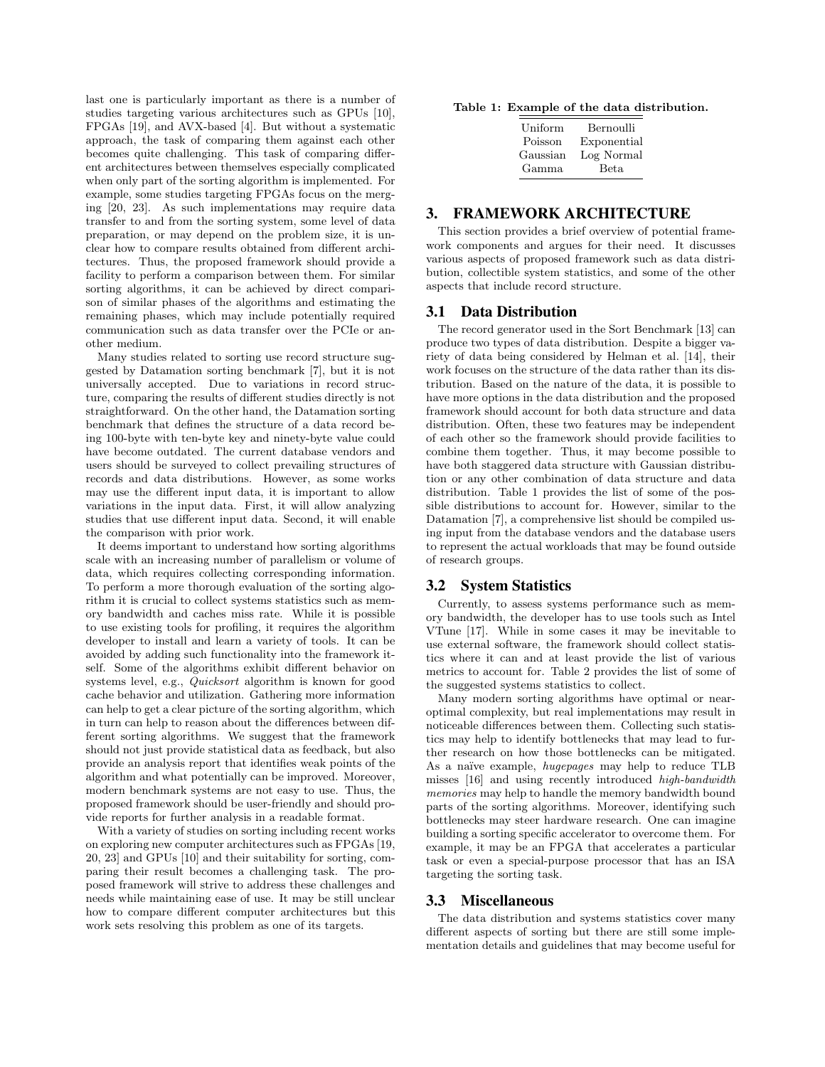last one is particularly important as there is a number of studies targeting various architectures such as GPUs [10], FPGAs [19], and AVX-based [4]. But without a systematic approach, the task of comparing them against each other becomes quite challenging. This task of comparing different architectures between themselves especially complicated when only part of the sorting algorithm is implemented. For example, some studies targeting FPGAs focus on the merging [20, 23]. As such implementations may require data transfer to and from the sorting system, some level of data preparation, or may depend on the problem size, it is unclear how to compare results obtained from different architectures. Thus, the proposed framework should provide a facility to perform a comparison between them. For similar sorting algorithms, it can be achieved by direct comparison of similar phases of the algorithms and estimating the remaining phases, which may include potentially required communication such as data transfer over the PCIe or another medium.

Many studies related to sorting use record structure suggested by Datamation sorting benchmark [7], but it is not universally accepted. Due to variations in record structure, comparing the results of different studies directly is not straightforward. On the other hand, the Datamation sorting benchmark that defines the structure of a data record being 100-byte with ten-byte key and ninety-byte value could have become outdated. The current database vendors and users should be surveyed to collect prevailing structures of records and data distributions. However, as some works may use the different input data, it is important to allow variations in the input data. First, it will allow analyzing studies that use different input data. Second, it will enable the comparison with prior work.

It deems important to understand how sorting algorithms scale with an increasing number of parallelism or volume of data, which requires collecting corresponding information. To perform a more thorough evaluation of the sorting algorithm it is crucial to collect systems statistics such as memory bandwidth and caches miss rate. While it is possible to use existing tools for profiling, it requires the algorithm developer to install and learn a variety of tools. It can be avoided by adding such functionality into the framework itself. Some of the algorithms exhibit different behavior on systems level, e.g., *Quicksort* algorithm is known for good cache behavior and utilization. Gathering more information can help to get a clear picture of the sorting algorithm, which in turn can help to reason about the differences between different sorting algorithms. We suggest that the framework should not just provide statistical data as feedback, but also provide an analysis report that identifies weak points of the algorithm and what potentially can be improved. Moreover, modern benchmark systems are not easy to use. Thus, the proposed framework should be user-friendly and should provide reports for further analysis in a readable format.

With a variety of studies on sorting including recent works on exploring new computer architectures such as FPGAs [19, 20, 23] and GPUs [10] and their suitability for sorting, comparing their result becomes a challenging task. The proposed framework will strive to address these challenges and needs while maintaining ease of use. It may be still unclear how to compare different computer architectures but this work sets resolving this problem as one of its targets.

| Uniform  | Bernoulli   |
|----------|-------------|
| Poisson  | Exponential |
| Gaussian | Log Normal  |
| Gamma    | Beta        |

## 3. FRAMEWORK ARCHITECTURE

This section provides a brief overview of potential framework components and argues for their need. It discusses various aspects of proposed framework such as data distribution, collectible system statistics, and some of the other aspects that include record structure.

#### 3.1 Data Distribution

The record generator used in the Sort Benchmark [13] can produce two types of data distribution. Despite a bigger variety of data being considered by Helman et al. [14], their work focuses on the structure of the data rather than its distribution. Based on the nature of the data, it is possible to have more options in the data distribution and the proposed framework should account for both data structure and data distribution. Often, these two features may be independent of each other so the framework should provide facilities to combine them together. Thus, it may become possible to have both staggered data structure with Gaussian distribution or any other combination of data structure and data distribution. Table 1 provides the list of some of the possible distributions to account for. However, similar to the Datamation [7], a comprehensive list should be compiled using input from the database vendors and the database users to represent the actual workloads that may be found outside of research groups.

#### 3.2 System Statistics

Currently, to assess systems performance such as memory bandwidth, the developer has to use tools such as Intel VTune [17]. While in some cases it may be inevitable to use external software, the framework should collect statistics where it can and at least provide the list of various metrics to account for. Table 2 provides the list of some of the suggested systems statistics to collect.

Many modern sorting algorithms have optimal or nearoptimal complexity, but real implementations may result in noticeable differences between them. Collecting such statistics may help to identify bottlenecks that may lead to further research on how those bottlenecks can be mitigated. As a naïve example, *hugepages* may help to reduce TLB misses [16] and using recently introduced *high-bandwidth memories* may help to handle the memory bandwidth bound parts of the sorting algorithms. Moreover, identifying such bottlenecks may steer hardware research. One can imagine building a sorting specific accelerator to overcome them. For example, it may be an FPGA that accelerates a particular task or even a special-purpose processor that has an ISA targeting the sorting task.

## 3.3 Miscellaneous

The data distribution and systems statistics cover many different aspects of sorting but there are still some implementation details and guidelines that may become useful for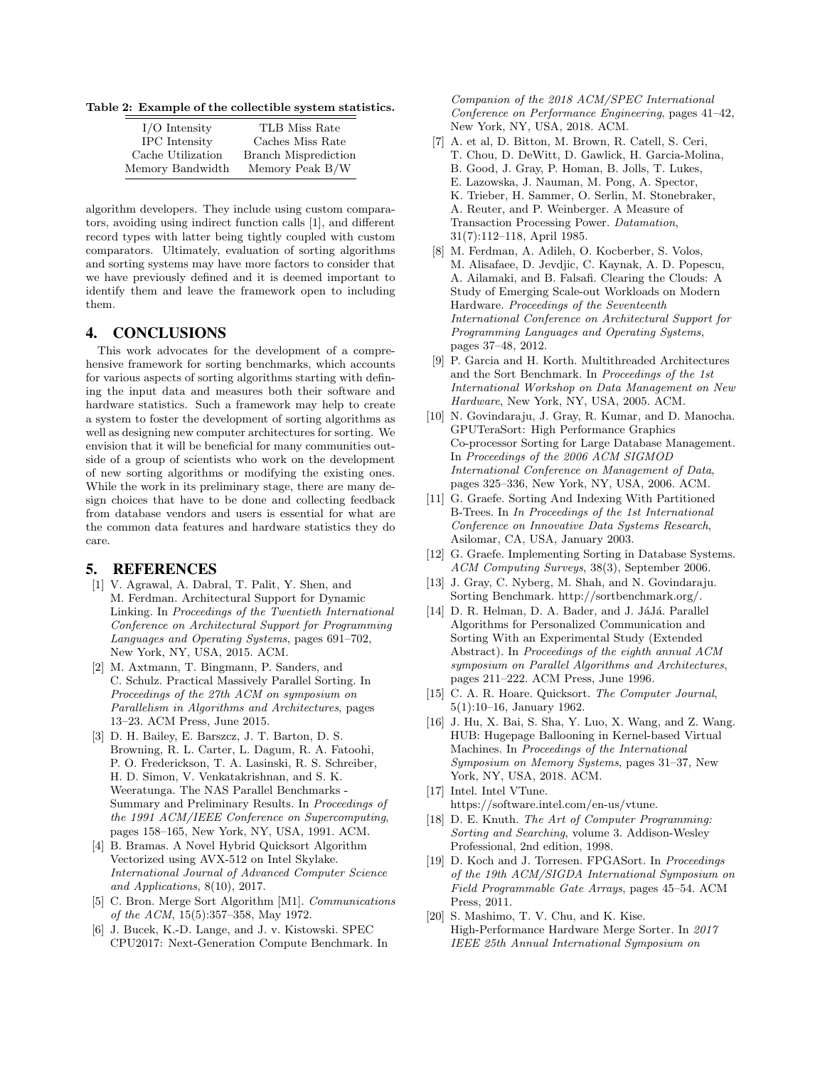Table 2: Example of the collectible system statistics.

| $I/O$ Intensity      | TLB Miss Rate               |
|----------------------|-----------------------------|
| <b>IPC</b> Intensity | Caches Miss Rate            |
| Cache Utilization    | <b>Branch Misprediction</b> |
| Memory Bandwidth     | Memory Peak B/W             |

algorithm developers. They include using custom comparators, avoiding using indirect function calls  $[1]$ , and different record types with latter being tightly coupled with custom comparators. Ultimately, evaluation of sorting algorithms and sorting systems may have more factors to consider that we have previously defined and it is deemed important to identify them and leave the framework open to including them.

# 4. CONCLUSIONS

This work advocates for the development of a comprehensive framework for sorting benchmarks, which accounts for various aspects of sorting algorithms starting with defining the input data and measures both their software and hardware statistics. Such a framework may help to create a system to foster the development of sorting algorithms as well as designing new computer architectures for sorting. We envision that it will be beneficial for many communities outside of a group of scientists who work on the development of new sorting algorithms or modifying the existing ones. While the work in its preliminary stage, there are many design choices that have to be done and collecting feedback from database vendors and users is essential for what are the common data features and hardware statistics they do care.

## 5. REFERENCES

- [1] V. Agrawal, A. Dabral, T. Palit, Y. Shen, and M. Ferdman. Architectural Support for Dynamic Linking. In *Proceedings of the Twentieth International Conference on Architectural Support for Programming Languages and Operating Systems*, pages 691–702, New York, NY, USA, 2015. ACM.
- [2] M. Axtmann, T. Bingmann, P. Sanders, and C. Schulz. Practical Massively Parallel Sorting. In *Proceedings of the 27th ACM on symposium on Parallelism in Algorithms and Architectures*, pages 13–23. ACM Press, June 2015.
- [3] D. H. Bailey, E. Barszcz, J. T. Barton, D. S. Browning, R. L. Carter, L. Dagum, R. A. Fatoohi, P. O. Frederickson, T. A. Lasinski, R. S. Schreiber, H. D. Simon, V. Venkatakrishnan, and S. K. Weeratunga. The NAS Parallel Benchmarks - Summary and Preliminary Results. In *Proceedings of the 1991 ACM/IEEE Conference on Supercomputing*, pages 158–165, New York, NY, USA, 1991. ACM.
- [4] B. Bramas. A Novel Hybrid Quicksort Algorithm Vectorized using AVX-512 on Intel Skylake. *International Journal of Advanced Computer Science and Applications*, 8(10), 2017.
- [5] C. Bron. Merge Sort Algorithm [M1]. *Communications of the ACM*, 15(5):357–358, May 1972.
- [6] J. Bucek, K.-D. Lange, and J. v. Kistowski. SPEC CPU2017: Next-Generation Compute Benchmark. In

*Companion of the 2018 ACM/SPEC International Conference on Performance Engineering*, pages 41–42, New York, NY, USA, 2018. ACM.

- [7] A. et al, D. Bitton, M. Brown, R. Catell, S. Ceri, T. Chou, D. DeWitt, D. Gawlick, H. Garcia-Molina, B. Good, J. Gray, P. Homan, B. Jolls, T. Lukes, E. Lazowska, J. Nauman, M. Pong, A. Spector, K. Trieber, H. Sammer, O. Serlin, M. Stonebraker, A. Reuter, and P. Weinberger. A Measure of Transaction Processing Power. *Datamation*, 31(7):112–118, April 1985.
- [8] M. Ferdman, A. Adileh, O. Kocberber, S. Volos, M. Alisafaee, D. Jevdjic, C. Kaynak, A. D. Popescu, A. Ailamaki, and B. Falsafi. Clearing the Clouds: A Study of Emerging Scale-out Workloads on Modern Hardware. *Proceedings of the Seventeenth International Conference on Architectural Support for Programming Languages and Operating Systems*, pages 37–48, 2012.
- [9] P. Garcia and H. Korth. Multithreaded Architectures and the Sort Benchmark. In *Proceedings of the 1st International Workshop on Data Management on New Hardware*, New York, NY, USA, 2005. ACM.
- [10] N. Govindaraju, J. Gray, R. Kumar, and D. Manocha. GPUTeraSort: High Performance Graphics Co-processor Sorting for Large Database Management. In *Proceedings of the 2006 ACM SIGMOD International Conference on Management of Data*, pages 325–336, New York, NY, USA, 2006. ACM.
- [11] G. Graefe. Sorting And Indexing With Partitioned B-Trees. In *In Proceedings of the 1st International Conference on Innovative Data Systems Research*, Asilomar, CA, USA, January 2003.
- [12] G. Graefe. Implementing Sorting in Database Systems. *ACM Computing Surveys*, 38(3), September 2006.
- [13] J. Gray, C. Nyberg, M. Shah, and N. Govindaraju. Sorting Benchmark. http://sortbenchmark.org/.
- [14] D. R. Helman, D. A. Bader, and J. JáJá. Parallel Algorithms for Personalized Communication and Sorting With an Experimental Study (Extended Abstract). In *Proceedings of the eighth annual ACM symposium on Parallel Algorithms and Architectures*, pages 211–222. ACM Press, June 1996.
- [15] C. A. R. Hoare. Quicksort. *The Computer Journal*, 5(1):10–16, January 1962.
- [16] J. Hu, X. Bai, S. Sha, Y. Luo, X. Wang, and Z. Wang. HUB: Hugepage Ballooning in Kernel-based Virtual Machines. In *Proceedings of the International Symposium on Memory Systems*, pages 31–37, New York, NY, USA, 2018. ACM.
- [17] Intel. Intel VTune. https://software.intel.com/en-us/vtune.
- [18] D. E. Knuth. *The Art of Computer Programming: Sorting and Searching*, volume 3. Addison-Wesley Professional, 2nd edition, 1998.
- [19] D. Koch and J. Torresen. FPGASort. In *Proceedings of the 19th ACM/SIGDA International Symposium on Field Programmable Gate Arrays*, pages 45–54. ACM Press, 2011.
- [20] S. Mashimo, T. V. Chu, and K. Kise. High-Performance Hardware Merge Sorter. In *2017 IEEE 25th Annual International Symposium on*